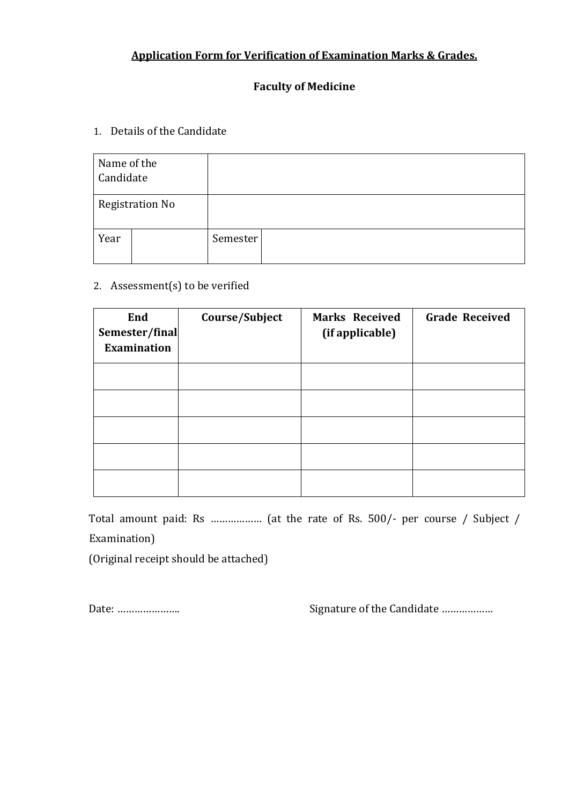# **Application Form for Verification of Examination Marks & Grades.**

## **Faculty of Medicine**

## 1. Details of the Candidate

| Name of the<br>Candidate |  |          |  |
|--------------------------|--|----------|--|
| <b>Registration No</b>   |  |          |  |
| Year                     |  | Semester |  |

#### 2. Assessment(s) to be verified

| End<br>Semester/final<br><b>Examination</b> | Course/Subject | <b>Marks Received</b><br>(if applicable) | <b>Grade Received</b> |
|---------------------------------------------|----------------|------------------------------------------|-----------------------|
|                                             |                |                                          |                       |
|                                             |                |                                          |                       |
|                                             |                |                                          |                       |
|                                             |                |                                          |                       |
|                                             |                |                                          |                       |

Total amount paid: Rs ……………… (at the rate of Rs. 500/- per course / Subject / Examination)

(Original receipt should be attached)

Date: …………………. Signature of the Candidate ………………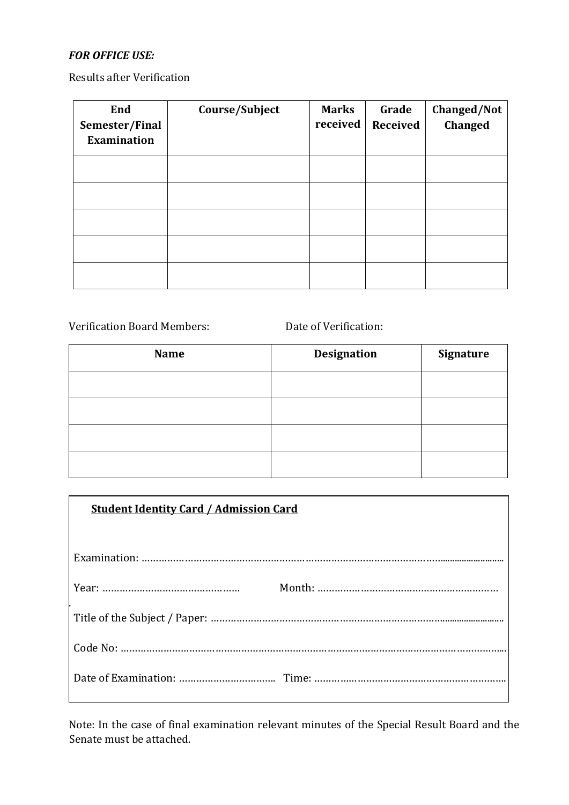#### *FOR OFFICE USE:*

Results after Verification

| End<br>Semester/Final<br><b>Examination</b> | Course/Subject | <b>Marks</b><br>received | Grade<br>Received | Changed/Not<br>Changed |
|---------------------------------------------|----------------|--------------------------|-------------------|------------------------|
|                                             |                |                          |                   |                        |
|                                             |                |                          |                   |                        |
|                                             |                |                          |                   |                        |
|                                             |                |                          |                   |                        |
|                                             |                |                          |                   |                        |

Verification Board Members: Date of Verification:

| <b>Name</b> | <b>Designation</b> | Signature |
|-------------|--------------------|-----------|
|             |                    |           |
|             |                    |           |
|             |                    |           |
|             |                    |           |

| <b>Student Identity Card / Admission Card</b> |  |  |
|-----------------------------------------------|--|--|
|                                               |  |  |
|                                               |  |  |
|                                               |  |  |
|                                               |  |  |
|                                               |  |  |
|                                               |  |  |

Note: In the case of final examination relevant minutes of the Special Result Board and the Senate must be attached.